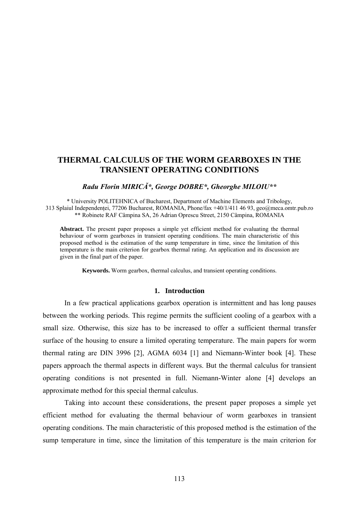# **THERMAL CALCULUS OF THE WORM GEARBOXES IN THE TRANSIENT OPERATING CONDITIONS**

## *Radu Florin MIRICĂ\*, George DOBRE\*, Gheorghe MILOIU\*\**

\* University POLITEHNICA of Bucharest, Department of Machine Elements and Tribology, 313 Splaiul Independentei, 77206 Bucharest, ROMANIA, Phone/fax +40/1/411 46 93, [geo@meca.omtr.pub.ro](mailto:geo@meca.omtr.pub.ro) \*\* Robinete RAF Câmpina SA, 26 Adrian Oprescu Street, 2150 Câmpina, ROMANIA

**Abstract.** The present paper proposes a simple yet efficient method for evaluating the thermal behaviour of worm gearboxes in transient operating conditions. The main characteristic of this proposed method is the estimation of the sump temperature in time, since the limitation of this temperature is the main criterion for gearbox thermal rating. An application and its discussion are given in the final part of the paper.

**Keywords.** Worm gearbox, thermal calculus, and transient operating conditions.

# **1. Introduction**

In a few practical applications gearbox operation is intermittent and has long pauses between the working periods. This regime permits the sufficient cooling of a gearbox with a small size. Otherwise, this size has to be increased to offer a sufficient thermal transfer surface of the housing to ensure a limited operating temperature. The main papers for worm thermal rating are DIN 3996 [2], AGMA 6034 [1] and Niemann-Winter book [4]. These papers approach the thermal aspects in different ways. But the thermal calculus for transient operating conditions is not presented in full. Niemann-Winter alone [4] develops an approximate method for this special thermal calculus.

Taking into account these considerations, the present paper proposes a simple yet efficient method for evaluating the thermal behaviour of worm gearboxes in transient operating conditions. The main characteristic of this proposed method is the estimation of the sump temperature in time, since the limitation of this temperature is the main criterion for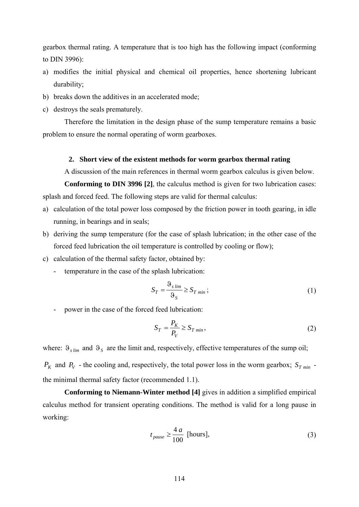gearbox thermal rating. A temperature that is too high has the following impact (conforming to DIN 3996):

- a) modifies the initial physical and chemical oil properties, hence shortening lubricant durability;
- b) breaks down the additives in an accelerated mode;
- c) destroys the seals prematurely.

Therefore the limitation in the design phase of the sump temperature remains a basic problem to ensure the normal operating of worm gearboxes.

# **2. Short view of the existent methods for worm gearbox thermal rating**

A discussion of the main references in thermal worm gearbox calculus is given below.

**Conforming to DIN 3996 [2]**, the calculus method is given for two lubrication cases: splash and forced feed. The following steps are valid for thermal calculus:

- a) calculation of the total power loss composed by the friction power in tooth gearing, in idle running, in bearings and in seals;
- b) deriving the sump temperature (for the case of splash lubrication; in the other case of the forced feed lubrication the oil temperature is controlled by cooling or flow);
- c) calculation of the thermal safety factor, obtained by:
	- temperature in the case of the splash lubrication:

$$
S_T = \frac{\Theta_{s\,lim}}{\Theta_S} \ge S_{T\,min} \, ; \tag{1}
$$

power in the case of the forced feed lubrication:

$$
S_T = \frac{P_K}{P_V} \ge S_{T \min},\tag{2}
$$

where:  $\vartheta_{s\,lim}$  and  $\vartheta_{s}$  are the limit and, respectively, effective temperatures of the sump oil;

 $P_K$  and  $P_V$  - the cooling and, respectively, the total power loss in the worm gearbox;  $S_{T,min}$  the minimal thermal safety factor (recommended 1.1).

**Conforming to Niemann-Winter method [4]** gives in addition a simplified empirical calculus method for transient operating conditions. The method is valid for a long pause in working:

$$
t_{\text{pause}} \ge \frac{4 \, a}{100} \text{ [hours]},\tag{3}
$$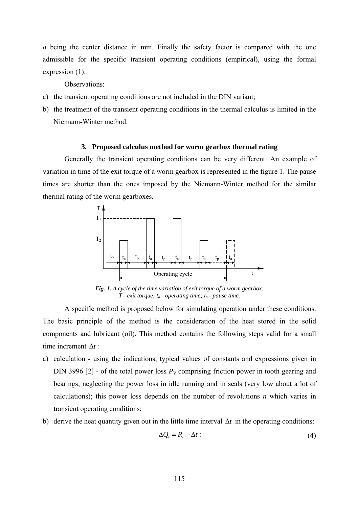*a* being the center distance in mm. Finally the safety factor is compared with the one admissible for the specific transient operating conditions (empirical), using the formal expression (1).

Observations:

- a) the transient operating conditions are not included in the DIN variant;
- b) the treatment of the transient operating conditions in the thermal calculus is limited in the Niemann-Winter method.

#### **3. Proposed calculus method for worm gearbox thermal rating**

Generally the transient operating conditions can be very different. An example of variation in time of the exit torque of a worm gearbox is represented in the figure 1. The pause times are shorter than the ones imposed by the Niemann-Winter method for the similar thermal rating of the worm gearboxes.



*Fig. 1. A cycle of the time variation of exit torque of a worm gearbox:*  $T$  - exit torque;  $t_a$  - operating time;  $t_p$  - pause time.

 A specific method is proposed below for simulating operation under these conditions. The basic principle of the method is the consideration of the heat stored in the solid components and lubricant (oil). This method contains the following steps valid for a small time increment Δ*t* :

- a) calculation using the indications, typical values of constants and expressions given in DIN 3996 [2] - of the total power loss  $P_V$  comprising friction power in tooth gearing and bearings, neglecting the power loss in idle running and in seals (very low about a lot of calculations); this power loss depends on the number of revolutions *n* which varies in transient operating conditions;
- b) derive the heat quantity given out in the little time interval  $\Delta t$  in the operating conditions:

$$
\Delta Q_i = P_{v,i} \cdot \Delta t \tag{4}
$$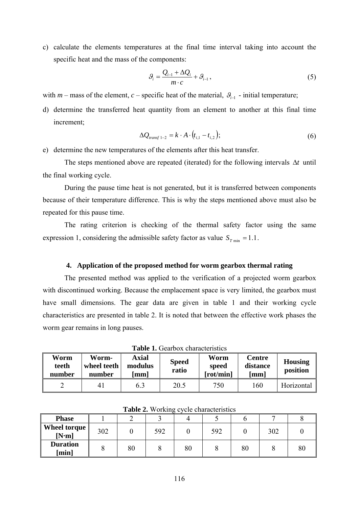c) calculate the elements temperatures at the final time interval taking into account the specific heat and the mass of the components:

$$
\mathcal{G}_i = \frac{\mathcal{Q}_{i-1} + \Delta \mathcal{Q}_i}{m \cdot c} + \mathcal{G}_{i-1},\tag{5}
$$

with *m* – mass of the element, *c* – specific heat of the material,  $\mathcal{G}_{i-1}$  - initial temperature;

d) determine the transferred heat quantity from an element to another at this final time increment;

$$
\Delta Q_{transf 1-2} = k \cdot A \cdot (t_{i,1} - t_{i,2}); \tag{6}
$$

e) determine the new temperatures of the elements after this heat transfer.

The steps mentioned above are repeated (iterated) for the following intervals  $\Delta t$  until the final working cycle.

 During the pause time heat is not generated, but it is transferred between components because of their temperature difference. This is why the steps mentioned above must also be repeated for this pause time.

 The rating criterion is checking of the thermal safety factor using the same expression 1, considering the admissible safety factor as value  $S_{\tau_{\min}} = 1.1$ .

## **4. Application of the proposed method for worm gearbox thermal rating**

 The presented method was applied to the verification of a projected worm gearbox with discontinued working. Because the emplacement space is very limited, the gearbox must have small dimensions. The gear data are given in table 1 and their working cycle characteristics are presented in table 2. It is noted that between the effective work phases the worm gear remains in long pauses.

| Worm<br>teeth<br>number | Worm-<br>wheel teeth<br>number | <b>Axial</b><br>modulus<br>mm | <b>Speed</b><br>ratio | Worm<br>speed<br>[rot/min] | <b>Centre</b><br>distance<br>[mm] | <b>Housing</b><br>position |  |
|-------------------------|--------------------------------|-------------------------------|-----------------------|----------------------------|-----------------------------------|----------------------------|--|
|                         | 4 I                            | 6.3                           | 20.5                  | 750                        | 160                               | Horizontal                 |  |

**Table 1.** Gearbox characteristics

| <b>Phase</b>             |     |    |     |    |     |    |     |    |
|--------------------------|-----|----|-----|----|-----|----|-----|----|
| Wheel torque<br>[N·m]    | 302 |    | 592 |    | 592 |    | 302 |    |
| <b>Duration</b><br>[min] |     | 80 |     | 80 |     | 80 |     | 80 |

**Table 2.** Working cycle characteristics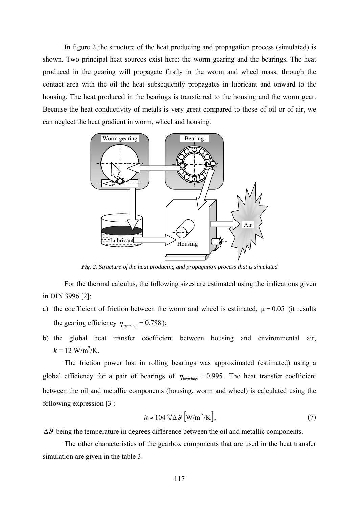In figure 2 the structure of the heat producing and propagation process (simulated) is shown. Two principal heat sources exist here: the worm gearing and the bearings. The heat produced in the gearing will propagate firstly in the worm and wheel mass; through the contact area with the oil the heat subsequently propagates in lubricant and onward to the housing. The heat produced in the bearings is transferred to the housing and the worm gear. Because the heat conductivity of metals is very great compared to those of oil or of air, we can neglect the heat gradient in worm, wheel and housing.



*Fig. 2. Structure of the heat producing and propagation process that is simulated* 

For the thermal calculus, the following sizes are estimated using the indications given in DIN 3996 [2]:

- a) the coefficient of friction between the worm and wheel is estimated,  $\mu = 0.05$  (it results the gearing efficiency  $\eta_{\text{gearing}} = 0.788$ );
- b) the global heat transfer coefficient between housing and environmental air,  $k = 12 \text{ W/m}^2/\text{K}$ .

The friction power lost in rolling bearings was approximated (estimated) using a global efficiency for a pair of bearings of  $\eta_{\text{bearings}} = 0.995$ . The heat transfer coefficient between the oil and metallic components (housing, worm and wheel) is calculated using the following expression [3]:

$$
k \approx 104 \sqrt[4]{\Delta \mathcal{G}} \left[ \text{W/m}^2/\text{K} \right],\tag{7}
$$

 $\Delta\theta$  being the temperature in degrees difference between the oil and metallic components.

 The other characteristics of the gearbox components that are used in the heat transfer simulation are given in the table 3.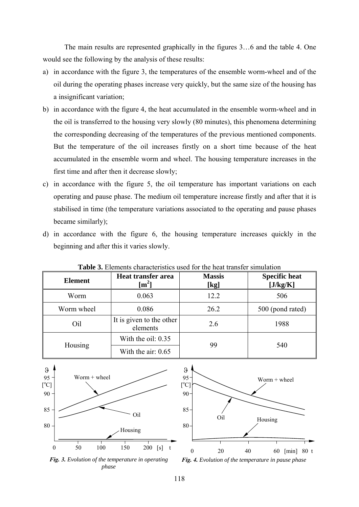The main results are represented graphically in the figures 3…6 and the table 4. One would see the following by the analysis of these results:

- a) in accordance with the figure 3, the temperatures of the ensemble worm-wheel and of the oil during the operating phases increase very quickly, but the same size of the housing has a insignificant variation;
- b) in accordance with the figure 4, the heat accumulated in the ensemble worm-wheel and in the oil is transferred to the housing very slowly (80 minutes), this phenomena determining the corresponding decreasing of the temperatures of the previous mentioned components. But the temperature of the oil increases firstly on a short time because of the heat accumulated in the ensemble worm and wheel. The housing temperature increases in the first time and after then it decrease slowly;
- c) in accordance with the figure 5, the oil temperature has important variations on each operating and pause phase. The medium oil temperature increase firstly and after that it is stabilised in time (the temperature variations associated to the operating and pause phases became similarly);
- d) in accordance with the figure 6, the housing temperature increases quickly in the beginning and after this it varies slowly.

| <b>Element</b> | Heat transfer area<br>$\mathrm{[m^2]}$ | <b>Massis</b><br>[kg] | <b>Specific heat</b><br>[J/kg/K] |  |  |
|----------------|----------------------------------------|-----------------------|----------------------------------|--|--|
| Worm           | 0.063                                  | 12.2                  | 506                              |  |  |
| Worm wheel     | 0.086                                  | 26.2                  | 500 (pond rated)                 |  |  |
| Oil            | It is given to the other<br>elements   | 2.6                   | 1988                             |  |  |
|                | With the oil: 0.35                     |                       | 540                              |  |  |
| Housing        | With the air: $0.65$                   | 99                    |                                  |  |  |

**Table 3.** Elements characteristics used for the heat transfer simulation





*Fig. 3. Evolution of the temperature in operating phase* 

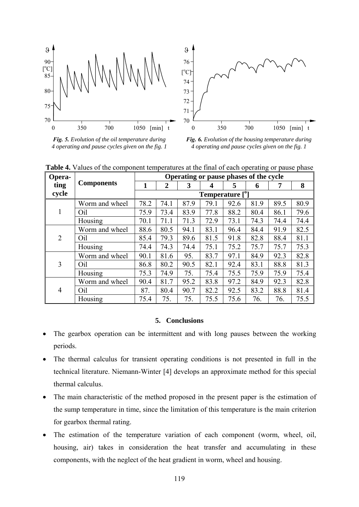

*Fig. 5. Evolution of the oil temperature during 4 operating and pause cycles given on the fig. 1* 



*Fig. 6. Evolution of the housing temperature during 4 operating and pause cycles given on the fig. 1* 

| Opera-         |                   | Operating or pause phases of the cycle |                |      |      |      |      |      |      |
|----------------|-------------------|----------------------------------------|----------------|------|------|------|------|------|------|
| ting           | <b>Components</b> | 1                                      | $\overline{2}$ | 3    | 4    | 5    | 6    | 7    | 8    |
| cycle          |                   | Temperature [ <sup>0</sup> ]           |                |      |      |      |      |      |      |
| -1             | Worm and wheel    | 78.2                                   | 74.1           | 87.9 | 79.1 | 92.6 | 81.9 | 89.5 | 80.9 |
|                | Oil               | 75.9                                   | 73.4           | 83.9 | 77.8 | 88.2 | 80.4 | 86.1 | 79.6 |
|                | Housing           | 70.1                                   | 71.1           | 71.3 | 72.9 | 73.1 | 74.3 | 74.4 | 74.4 |
| $\overline{2}$ | Worm and wheel    | 88.6                                   | 80.5           | 94.1 | 83.1 | 96.4 | 84.4 | 91.9 | 82.5 |
|                | Oil               | 85.4                                   | 79.3           | 89.6 | 81.5 | 91.8 | 82.8 | 88.4 | 81.1 |
|                | Housing           | 74.4                                   | 74.3           | 74.4 | 75.1 | 75.2 | 75.7 | 75.7 | 75.3 |
| 3              | Worm and wheel    | 90.1                                   | 81.6           | 95.  | 83.7 | 97.1 | 84.9 | 92.3 | 82.8 |
|                | Oil               | 86.8                                   | 80.2           | 90.5 | 82.1 | 92.4 | 83.1 | 88.8 | 81.3 |
|                | Housing           | 75.3                                   | 74.9           | 75.  | 75.4 | 75.5 | 75.9 | 75.9 | 75.4 |
| $\overline{4}$ | Worm and wheel    | 90.4                                   | 81.7           | 95.2 | 83.8 | 97.2 | 84.9 | 92.3 | 82.8 |
|                | Oil               | 87.                                    | 80.4           | 90.7 | 82.2 | 92.5 | 83.2 | 88.8 | 81.4 |
|                | Housing           | 75.4                                   | 75.            | 75.  | 75.5 | 75.6 | 76.  | 76.  | 75.5 |

**Table 4.** Values of the component temperatures at the final of each operating or pause phase

# **5. Conclusions**

- The gearbox operation can be intermittent and with long pauses between the working periods.
- The thermal calculus for transient operating conditions is not presented in full in the technical literature. Niemann-Winter [4] develops an approximate method for this special thermal calculus.
- The main characteristic of the method proposed in the present paper is the estimation of the sump temperature in time, since the limitation of this temperature is the main criterion for gearbox thermal rating.
- The estimation of the temperature variation of each component (worm, wheel, oil, housing, air) takes in consideration the heat transfer and accumulating in these components, with the neglect of the heat gradient in worm, wheel and housing.